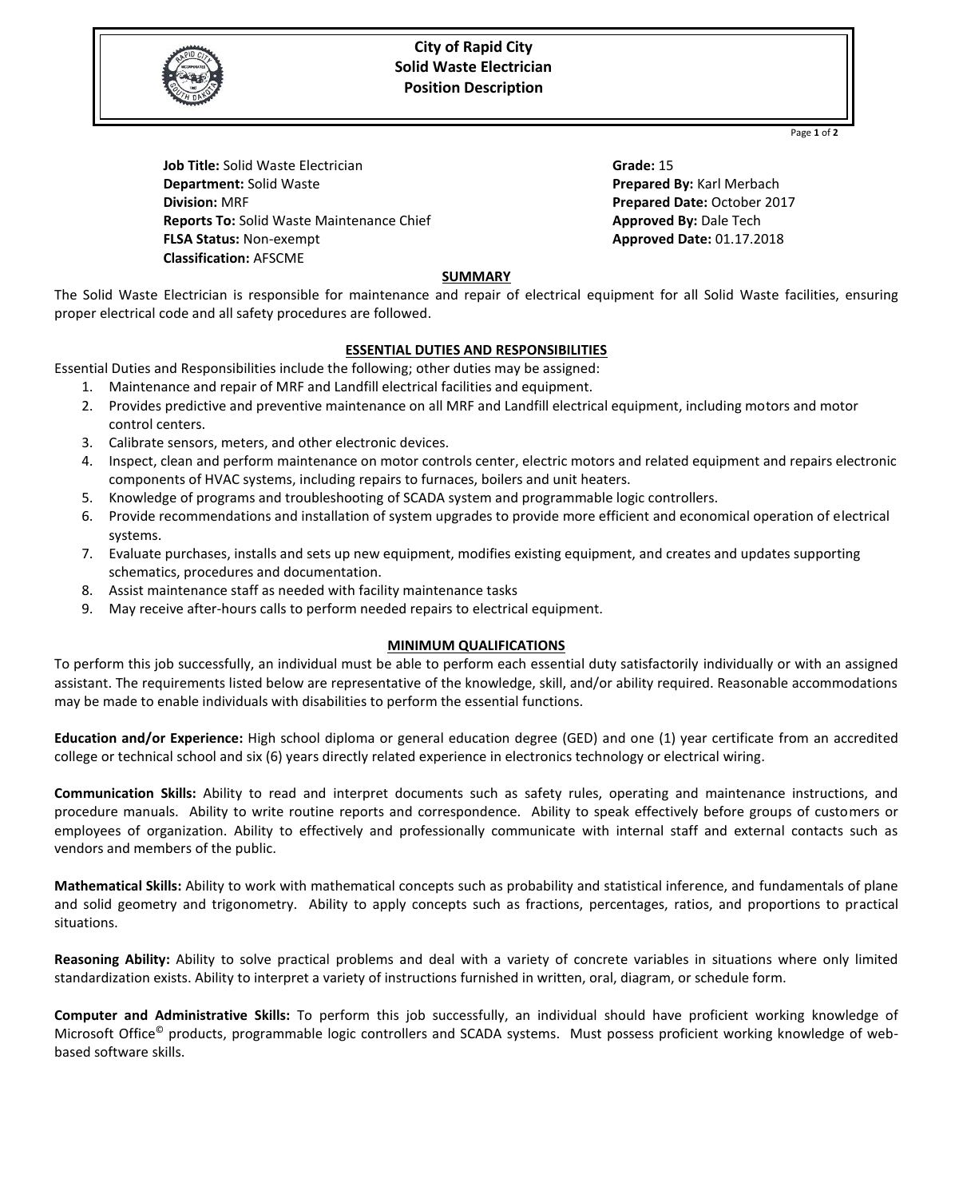

## **City of Rapid City Solid Waste Electrician Position Description**

Page **1** of **2**

**Job Title:** Solid Waste Electrician **Department:** Solid Waste **Division:** MRF **Reports To:** Solid Waste Maintenance Chief **FLSA Status:** Non-exempt **Classification:** AFSCME

**Grade:** 15 **Prepared By:** Karl Merbach **Prepared Date:** October 2017 **Approved By:** Dale Tech **Approved Date:** 01.17.2018

## **SUMMARY**

The Solid Waste Electrician is responsible for maintenance and repair of electrical equipment for all Solid Waste facilities, ensuring proper electrical code and all safety procedures are followed.

### **ESSENTIAL DUTIES AND RESPONSIBILITIES**

Essential Duties and Responsibilities include the following; other duties may be assigned:

- 1. Maintenance and repair of MRF and Landfill electrical facilities and equipment.
- 2. Provides predictive and preventive maintenance on all MRF and Landfill electrical equipment, including motors and motor control centers.
- 3. Calibrate sensors, meters, and other electronic devices.
- 4. Inspect, clean and perform maintenance on motor controls center, electric motors and related equipment and repairs electronic components of HVAC systems, including repairs to furnaces, boilers and unit heaters.
- 5. Knowledge of programs and troubleshooting of SCADA system and programmable logic controllers.
- 6. Provide recommendations and installation of system upgrades to provide more efficient and economical operation of electrical systems.
- 7. Evaluate purchases, installs and sets up new equipment, modifies existing equipment, and creates and updates supporting schematics, procedures and documentation.
- 8. Assist maintenance staff as needed with facility maintenance tasks
- 9. May receive after-hours calls to perform needed repairs to electrical equipment.

### **MINIMUM QUALIFICATIONS**

To perform this job successfully, an individual must be able to perform each essential duty satisfactorily individually or with an assigned assistant. The requirements listed below are representative of the knowledge, skill, and/or ability required. Reasonable accommodations may be made to enable individuals with disabilities to perform the essential functions.

**Education and/or Experience:** High school diploma or general education degree (GED) and one (1) year certificate from an accredited college or technical school and six (6) years directly related experience in electronics technology or electrical wiring.

**Communication Skills:** Ability to read and interpret documents such as safety rules, operating and maintenance instructions, and procedure manuals. Ability to write routine reports and correspondence. Ability to speak effectively before groups of customers or employees of organization. Ability to effectively and professionally communicate with internal staff and external contacts such as vendors and members of the public.

**Mathematical Skills:** Ability to work with mathematical concepts such as probability and statistical inference, and fundamentals of plane and solid geometry and trigonometry. Ability to apply concepts such as fractions, percentages, ratios, and proportions to practical situations.

**Reasoning Ability:** Ability to solve practical problems and deal with a variety of concrete variables in situations where only limited standardization exists. Ability to interpret a variety of instructions furnished in written, oral, diagram, or schedule form.

**Computer and Administrative Skills:** To perform this job successfully, an individual should have proficient working knowledge of Microsoft Office© products, programmable logic controllers and SCADA systems. Must possess proficient working knowledge of webbased software skills.